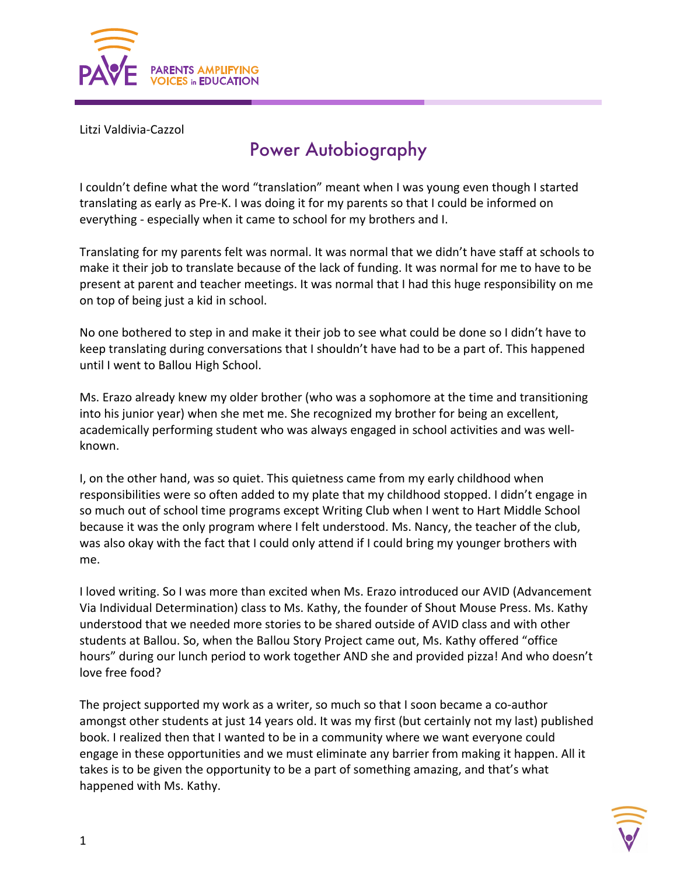

Litzi Valdivia-Cazzol

## Power Autobiography

I couldn't define what the word "translation" meant when I was young even though I started translating as early as Pre-K. I was doing it for my parents so that I could be informed on everything - especially when it came to school for my brothers and I.

Translating for my parents felt was normal. It was normal that we didn't have staff at schools to make it their job to translate because of the lack of funding. It was normal for me to have to be present at parent and teacher meetings. It was normal that I had this huge responsibility on me on top of being just a kid in school.

No one bothered to step in and make it their job to see what could be done so I didn't have to keep translating during conversations that I shouldn't have had to be a part of. This happened until I went to Ballou High School.

Ms. Erazo already knew my older brother (who was a sophomore at the time and transitioning into his junior year) when she met me. She recognized my brother for being an excellent, academically performing student who was always engaged in school activities and was wellknown.

I, on the other hand, was so quiet. This quietness came from my early childhood when responsibilities were so often added to my plate that my childhood stopped. I didn't engage in so much out of school time programs except Writing Club when I went to Hart Middle School because it was the only program where I felt understood. Ms. Nancy, the teacher of the club, was also okay with the fact that I could only attend if I could bring my younger brothers with me.

I loved writing. So I was more than excited when Ms. Erazo introduced our AVID (Advancement Via Individual Determination) class to Ms. Kathy, the founder of Shout Mouse Press. Ms. Kathy understood that we needed more stories to be shared outside of AVID class and with other students at Ballou. So, when the Ballou Story Project came out, Ms. Kathy offered "office hours" during our lunch period to work together AND she and provided pizza! And who doesn't love free food?

The project supported my work as a writer, so much so that I soon became a co-author amongst other students at just 14 years old. It was my first (but certainly not my last) published book. I realized then that I wanted to be in a community where we want everyone could engage in these opportunities and we must eliminate any barrier from making it happen. All it takes is to be given the opportunity to be a part of something amazing, and that's what happened with Ms. Kathy.